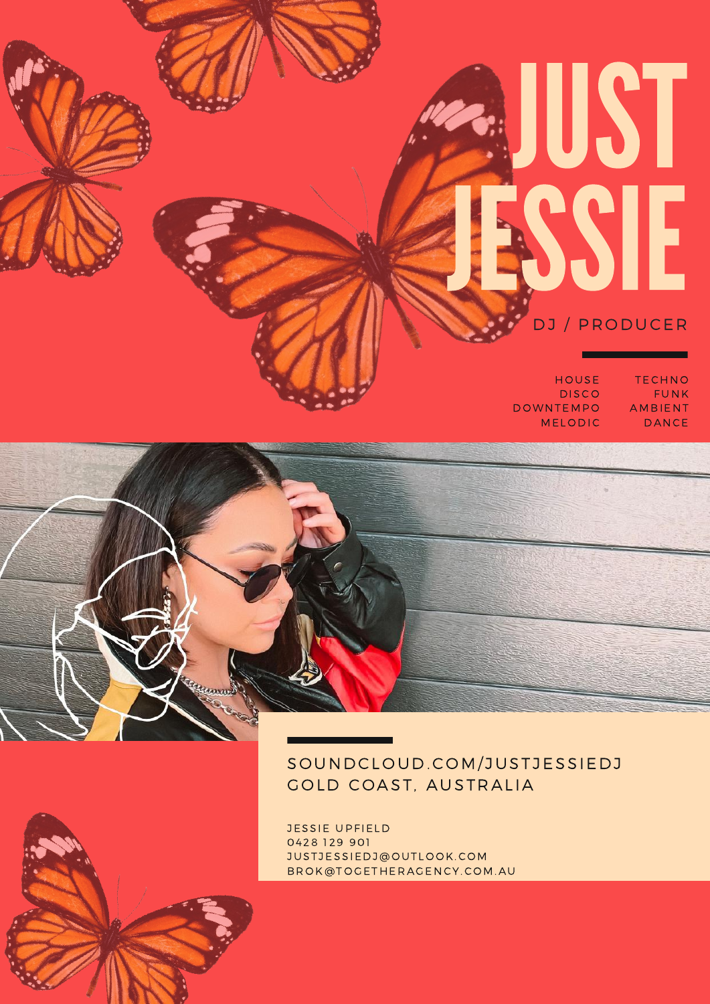# JUST JESSIE

DJ / PRODUCER

**TECHNO** FUNK AMB IENT **DANCE** 

**HOUSE DISCO DOWNTEMPO MELODIC** 



### SOUNDCLOUD.COM/JUSTJESSIEDJ GOLD COAST, AUSTRALIA

JESSIE UPFIELD 04 28 129 901 JUSTJESSIEDJ@OUTLOOK.COM BROK@TOGETHERAGENCY.COM.AU